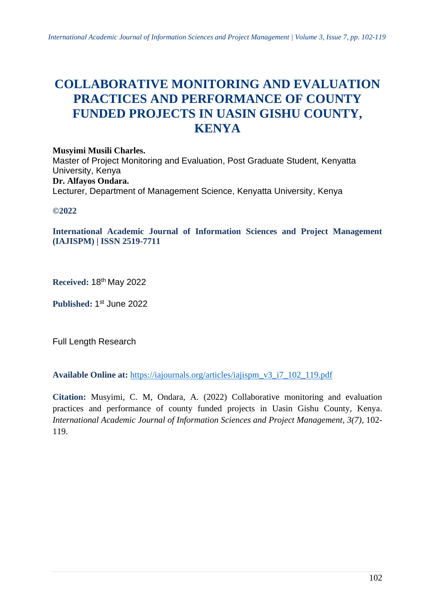# **COLLABORATIVE MONITORING AND EVALUATION PRACTICES AND PERFORMANCE OF COUNTY FUNDED PROJECTS IN UASIN GISHU COUNTY, KENYA**

## **Musyimi Musili Charles.**

Master of Project Monitoring and Evaluation, Post Graduate Student, Kenyatta University, Kenya **Dr. Alfayos Ondara.** Lecturer, Department of Management Science, Kenyatta University, Kenya

## **©2022**

**International Academic Journal of Information Sciences and Project Management (IAJISPM) | ISSN 2519-7711**

**Received:** 18th May 2022

Published: 1st June 2022

Full Length Research

**Available Online at:** [https://iajournals.org/articles/iajispm\\_v3\\_i7\\_102\\_119.pdf](https://iajournals.org/articles/iajispm_v3_i7_102_119.pdf)

**Citation:** Musyimi, C. M, Ondara, A. (2022) Collaborative monitoring and evaluation practices and performance of county funded projects in Uasin Gishu County, Kenya. *International Academic Journal of Information Sciences and Project Management, 3(7)*, 102- 119.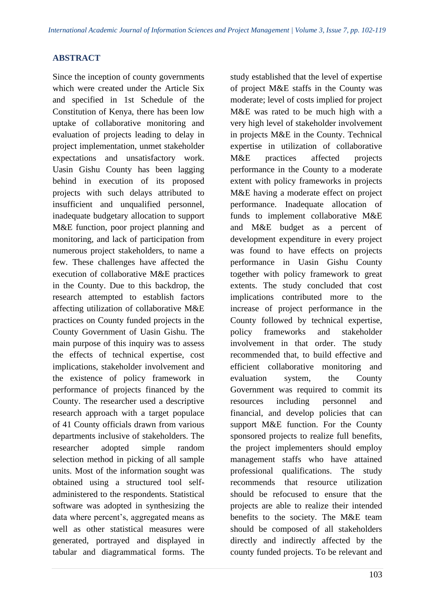## **ABSTRACT**

Since the inception of county governments which were created under the Article Six and specified in 1st Schedule of the Constitution of Kenya, there has been low uptake of collaborative monitoring and evaluation of projects leading to delay in project implementation, unmet stakeholder expectations and unsatisfactory work. Uasin Gishu County has been lagging behind in execution of its proposed projects with such delays attributed to insufficient and unqualified personnel, inadequate budgetary allocation to support M&E function, poor project planning and monitoring, and lack of participation from numerous project stakeholders, to name a few. These challenges have affected the execution of collaborative M&E practices in the County. Due to this backdrop, the research attempted to establish factors affecting utilization of collaborative M&E practices on County funded projects in the County Government of Uasin Gishu. The main purpose of this inquiry was to assess the effects of technical expertise, cost implications, stakeholder involvement and the existence of policy framework in performance of projects financed by the County. The researcher used a descriptive research approach with a target populace of 41 County officials drawn from various departments inclusive of stakeholders. The researcher adopted simple random selection method in picking of all sample units. Most of the information sought was obtained using a structured tool selfadministered to the respondents. Statistical software was adopted in synthesizing the data where percent's, aggregated means as well as other statistical measures were generated, portrayed and displayed in tabular and diagrammatical forms. The

study established that the level of expertise of project M&E staffs in the County was moderate; level of costs implied for project M&E was rated to be much high with a very high level of stakeholder involvement in projects M&E in the County. Technical expertise in utilization of collaborative M&E practices affected projects performance in the County to a moderate extent with policy frameworks in projects M&E having a moderate effect on project performance. Inadequate allocation of funds to implement collaborative M&E and M&E budget as a percent of development expenditure in every project was found to have effects on projects performance in Uasin Gishu County together with policy framework to great extents. The study concluded that cost implications contributed more to the increase of project performance in the County followed by technical expertise, policy frameworks and stakeholder involvement in that order. The study recommended that, to build effective and efficient collaborative monitoring and evaluation system, the County Government was required to commit its resources including personnel and financial, and develop policies that can support M&E function. For the County sponsored projects to realize full benefits, the project implementers should employ management staffs who have attained professional qualifications. The study recommends that resource utilization should be refocused to ensure that the projects are able to realize their intended benefits to the society. The M&E team should be composed of all stakeholders directly and indirectly affected by the county funded projects. To be relevant and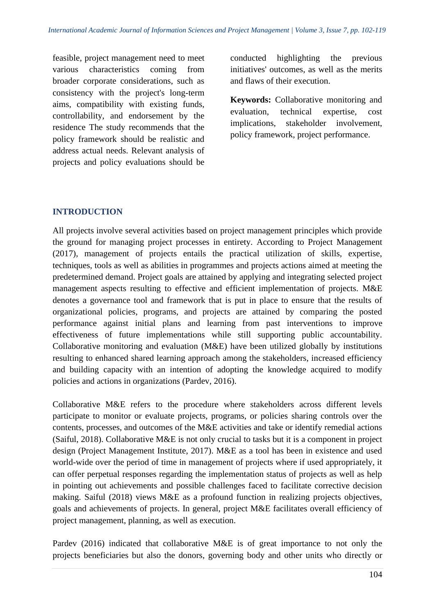feasible, project management need to meet various characteristics coming from broader corporate considerations, such as consistency with the project's long-term aims, compatibility with existing funds, controllability, and endorsement by the residence The study recommends that the policy framework should be realistic and address actual needs. Relevant analysis of projects and policy evaluations should be

conducted highlighting the previous initiatives' outcomes, as well as the merits and flaws of their execution.

**Keywords:** Collaborative monitoring and evaluation, technical expertise, cost implications, stakeholder involvement, policy framework, project performance.

## **INTRODUCTION**

All projects involve several activities based on project management principles which provide the ground for managing project processes in entirety. According to Project Management (2017), management of projects entails the practical utilization of skills, expertise, techniques, tools as well as abilities in programmes and projects actions aimed at meeting the predetermined demand. Project goals are attained by applying and integrating selected project management aspects resulting to effective and efficient implementation of projects. M&E denotes a governance tool and framework that is put in place to ensure that the results of organizational policies, programs, and projects are attained by comparing the posted performance against initial plans and learning from past interventions to improve effectiveness of future implementations while still supporting public accountability. Collaborative monitoring and evaluation (M&E) have been utilized globally by institutions resulting to enhanced shared learning approach among the stakeholders, increased efficiency and building capacity with an intention of adopting the knowledge acquired to modify policies and actions in organizations (Pardev, 2016).

Collaborative M&E refers to the procedure where stakeholders across different levels participate to monitor or evaluate projects, programs, or policies sharing controls over the contents, processes, and outcomes of the M&E activities and take or identify remedial actions (Saiful, 2018). Collaborative M&E is not only crucial to tasks but it is a component in project design (Project Management Institute, 2017). M&E as a tool has been in existence and used world-wide over the period of time in management of projects where if used appropriately, it can offer perpetual responses regarding the implementation status of projects as well as help in pointing out achievements and possible challenges faced to facilitate corrective decision making. Saiful (2018) views M&E as a profound function in realizing projects objectives, goals and achievements of projects. In general, project M&E facilitates overall efficiency of project management, planning, as well as execution.

Pardev (2016) indicated that collaborative M&E is of great importance to not only the projects beneficiaries but also the donors, governing body and other units who directly or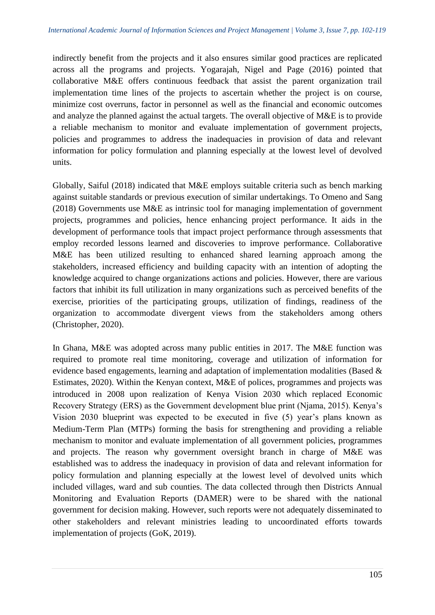indirectly benefit from the projects and it also ensures similar good practices are replicated across all the programs and projects. Yogarajah, Nigel and Page (2016) pointed that collaborative M&E offers continuous feedback that assist the parent organization trail implementation time lines of the projects to ascertain whether the project is on course, minimize cost overruns, factor in personnel as well as the financial and economic outcomes and analyze the planned against the actual targets. The overall objective of M&E is to provide a reliable mechanism to monitor and evaluate implementation of government projects, policies and programmes to address the inadequacies in provision of data and relevant information for policy formulation and planning especially at the lowest level of devolved units.

Globally, Saiful (2018) indicated that M&E employs suitable criteria such as bench marking against suitable standards or previous execution of similar undertakings. To Omeno and Sang (2018) Governments use M&E as intrinsic tool for managing implementation of government projects, programmes and policies, hence enhancing project performance. It aids in the development of performance tools that impact project performance through assessments that employ recorded lessons learned and discoveries to improve performance. Collaborative M&E has been utilized resulting to enhanced shared learning approach among the stakeholders, increased efficiency and building capacity with an intention of adopting the knowledge acquired to change organizations actions and policies. However, there are various factors that inhibit its full utilization in many organizations such as perceived benefits of the exercise, priorities of the participating groups, utilization of findings, readiness of the organization to accommodate divergent views from the stakeholders among others (Christopher, 2020).

In Ghana, M&E was adopted across many public entities in 2017. The M&E function was required to promote real time monitoring, coverage and utilization of information for evidence based engagements, learning and adaptation of implementation modalities (Based & Estimates, 2020). Within the Kenyan context, M&E of polices, programmes and projects was introduced in 2008 upon realization of Kenya Vision 2030 which replaced Economic Recovery Strategy (ERS) as the Government development blue print (Njama, 2015). Kenya's Vision 2030 blueprint was expected to be executed in five (5) year's plans known as Medium-Term Plan (MTPs) forming the basis for strengthening and providing a reliable mechanism to monitor and evaluate implementation of all government policies, programmes and projects. The reason why government oversight branch in charge of M&E was established was to address the inadequacy in provision of data and relevant information for policy formulation and planning especially at the lowest level of devolved units which included villages, ward and sub counties. The data collected through then Districts Annual Monitoring and Evaluation Reports (DAMER) were to be shared with the national government for decision making. However, such reports were not adequately disseminated to other stakeholders and relevant ministries leading to uncoordinated efforts towards implementation of projects (GoK, 2019).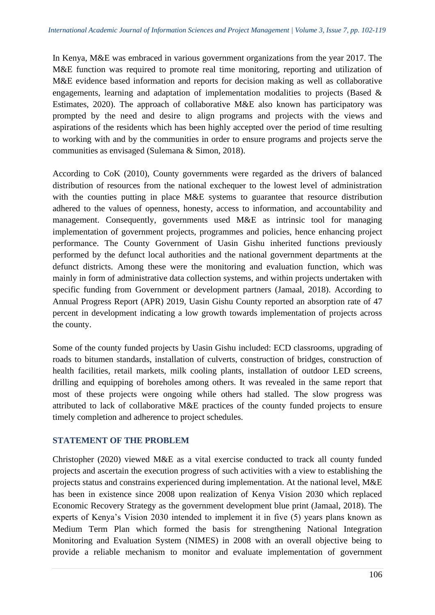In Kenya, M&E was embraced in various government organizations from the year 2017. The M&E function was required to promote real time monitoring, reporting and utilization of M&E evidence based information and reports for decision making as well as collaborative engagements, learning and adaptation of implementation modalities to projects (Based & Estimates, 2020). The approach of collaborative M&E also known has participatory was prompted by the need and desire to align programs and projects with the views and aspirations of the residents which has been highly accepted over the period of time resulting to working with and by the communities in order to ensure programs and projects serve the communities as envisaged (Sulemana & Simon, 2018).

According to CoK (2010), County governments were regarded as the drivers of balanced distribution of resources from the national exchequer to the lowest level of administration with the counties putting in place M&E systems to guarantee that resource distribution adhered to the values of openness, honesty, access to information, and accountability and management. Consequently, governments used M&E as intrinsic tool for managing implementation of government projects, programmes and policies, hence enhancing project performance. The County Government of Uasin Gishu inherited functions previously performed by the defunct local authorities and the national government departments at the defunct districts. Among these were the monitoring and evaluation function, which was mainly in form of administrative data collection systems, and within projects undertaken with specific funding from Government or development partners (Jamaal, 2018). According to Annual Progress Report (APR) 2019, Uasin Gishu County reported an absorption rate of 47 percent in development indicating a low growth towards implementation of projects across the county.

Some of the county funded projects by Uasin Gishu included: ECD classrooms, upgrading of roads to bitumen standards, installation of culverts, construction of bridges, construction of health facilities, retail markets, milk cooling plants, installation of outdoor LED screens, drilling and equipping of boreholes among others. It was revealed in the same report that most of these projects were ongoing while others had stalled. The slow progress was attributed to lack of collaborative M&E practices of the county funded projects to ensure timely completion and adherence to project schedules.

## **STATEMENT OF THE PROBLEM**

Christopher (2020) viewed M&E as a vital exercise conducted to track all county funded projects and ascertain the execution progress of such activities with a view to establishing the projects status and constrains experienced during implementation. At the national level, M&E has been in existence since 2008 upon realization of Kenya Vision 2030 which replaced Economic Recovery Strategy as the government development blue print (Jamaal, 2018). The experts of Kenya's Vision 2030 intended to implement it in five (5) years plans known as Medium Term Plan which formed the basis for strengthening National Integration Monitoring and Evaluation System (NIMES) in 2008 with an overall objective being to provide a reliable mechanism to monitor and evaluate implementation of government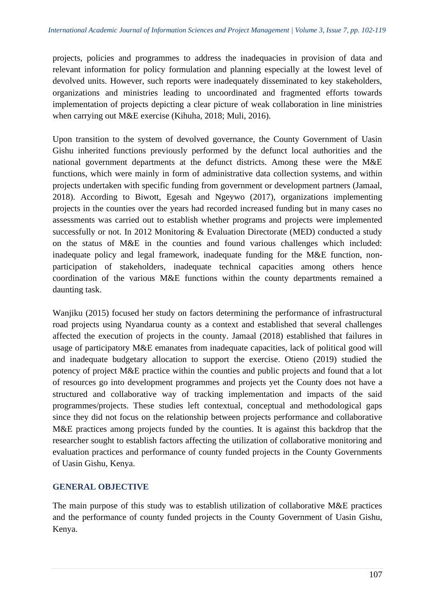projects, policies and programmes to address the inadequacies in provision of data and relevant information for policy formulation and planning especially at the lowest level of devolved units. However, such reports were inadequately disseminated to key stakeholders, organizations and ministries leading to uncoordinated and fragmented efforts towards implementation of projects depicting a clear picture of weak collaboration in line ministries when carrying out M&E exercise (Kihuha, 2018; Muli, 2016).

Upon transition to the system of devolved governance, the County Government of Uasin Gishu inherited functions previously performed by the defunct local authorities and the national government departments at the defunct districts. Among these were the M&E functions, which were mainly in form of administrative data collection systems, and within projects undertaken with specific funding from government or development partners (Jamaal, 2018). According to Biwott, Egesah and Ngeywo (2017), organizations implementing projects in the counties over the years had recorded increased funding but in many cases no assessments was carried out to establish whether programs and projects were implemented successfully or not. In 2012 Monitoring & Evaluation Directorate (MED) conducted a study on the status of M&E in the counties and found various challenges which included: inadequate policy and legal framework, inadequate funding for the M&E function, nonparticipation of stakeholders, inadequate technical capacities among others hence coordination of the various M&E functions within the county departments remained a daunting task.

Wanjiku (2015) focused her study on factors determining the performance of infrastructural road projects using Nyandarua county as a context and established that several challenges affected the execution of projects in the county. Jamaal (2018) established that failures in usage of participatory M&E emanates from inadequate capacities, lack of political good will and inadequate budgetary allocation to support the exercise. Otieno (2019) studied the potency of project M&E practice within the counties and public projects and found that a lot of resources go into development programmes and projects yet the County does not have a structured and collaborative way of tracking implementation and impacts of the said programmes/projects. These studies left contextual, conceptual and methodological gaps since they did not focus on the relationship between projects performance and collaborative M&E practices among projects funded by the counties. It is against this backdrop that the researcher sought to establish factors affecting the utilization of collaborative monitoring and evaluation practices and performance of county funded projects in the County Governments of Uasin Gishu, Kenya.

## **GENERAL OBJECTIVE**

The main purpose of this study was to establish utilization of collaborative M&E practices and the performance of county funded projects in the County Government of Uasin Gishu, Kenya.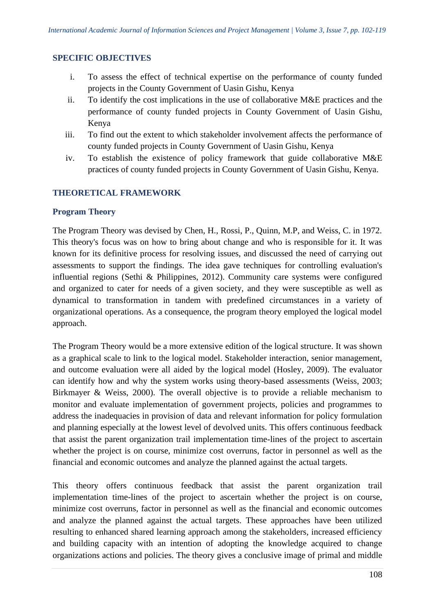#### **SPECIFIC OBJECTIVES**

- i. To assess the effect of technical expertise on the performance of county funded projects in the County Government of Uasin Gishu, Kenya
- ii. To identify the cost implications in the use of collaborative M&E practices and the performance of county funded projects in County Government of Uasin Gishu, Kenya
- iii. To find out the extent to which stakeholder involvement affects the performance of county funded projects in County Government of Uasin Gishu, Kenya
- iv. To establish the existence of policy framework that guide collaborative M&E practices of county funded projects in County Government of Uasin Gishu, Kenya.

#### **THEORETICAL FRAMEWORK**

#### **Program Theory**

The Program Theory was devised by Chen, H., Rossi, P., Quinn, M.P, and Weiss, C. in 1972. This theory's focus was on how to bring about change and who is responsible for it. It was known for its definitive process for resolving issues, and discussed the need of carrying out assessments to support the findings. The idea gave techniques for controlling evaluation's influential regions (Sethi & Philippines, 2012). Community care systems were configured and organized to cater for needs of a given society, and they were susceptible as well as dynamical to transformation in tandem with predefined circumstances in a variety of organizational operations. As a consequence, the program theory employed the logical model approach.

The Program Theory would be a more extensive edition of the logical structure. It was shown as a graphical scale to link to the logical model. Stakeholder interaction, senior management, and outcome evaluation were all aided by the logical model (Hosley, 2009). The evaluator can identify how and why the system works using theory-based assessments (Weiss, 2003; Birkmayer & Weiss, 2000). The overall objective is to provide a reliable mechanism to monitor and evaluate implementation of government projects, policies and programmes to address the inadequacies in provision of data and relevant information for policy formulation and planning especially at the lowest level of devolved units. This offers continuous feedback that assist the parent organization trail implementation time-lines of the project to ascertain whether the project is on course, minimize cost overruns, factor in personnel as well as the financial and economic outcomes and analyze the planned against the actual targets.

This theory offers continuous feedback that assist the parent organization trail implementation time-lines of the project to ascertain whether the project is on course, minimize cost overruns, factor in personnel as well as the financial and economic outcomes and analyze the planned against the actual targets. These approaches have been utilized resulting to enhanced shared learning approach among the stakeholders, increased efficiency and building capacity with an intention of adopting the knowledge acquired to change organizations actions and policies. The theory gives a conclusive image of primal and middle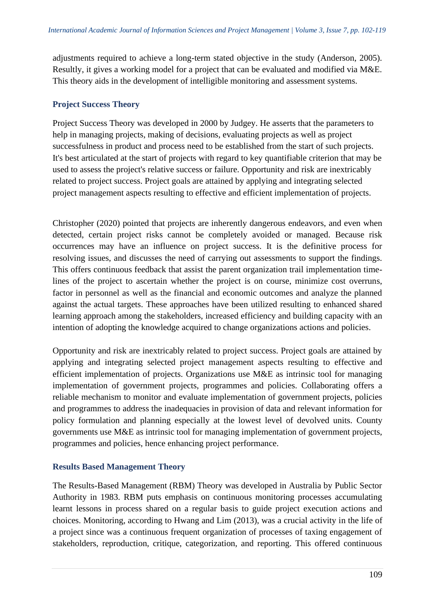adjustments required to achieve a long-term stated objective in the study (Anderson, 2005). Resultly, it gives a working model for a project that can be evaluated and modified via M&E. This theory aids in the development of intelligible monitoring and assessment systems.

## **Project Success Theory**

Project Success Theory was developed in 2000 by Judgey. He asserts that the parameters to help in managing projects, making of decisions, evaluating projects as well as project successfulness in product and process need to be established from the start of such projects. It's best articulated at the start of projects with regard to key quantifiable criterion that may be used to assess the project's relative success or failure. Opportunity and risk are inextricably related to project success. Project goals are attained by applying and integrating selected project management aspects resulting to effective and efficient implementation of projects.

Christopher (2020) pointed that projects are inherently dangerous endeavors, and even when detected, certain project risks cannot be completely avoided or managed. Because risk occurrences may have an influence on project success. It is the definitive process for resolving issues, and discusses the need of carrying out assessments to support the findings. This offers continuous feedback that assist the parent organization trail implementation timelines of the project to ascertain whether the project is on course, minimize cost overruns, factor in personnel as well as the financial and economic outcomes and analyze the planned against the actual targets. These approaches have been utilized resulting to enhanced shared learning approach among the stakeholders, increased efficiency and building capacity with an intention of adopting the knowledge acquired to change organizations actions and policies.

Opportunity and risk are inextricably related to project success. Project goals are attained by applying and integrating selected project management aspects resulting to effective and efficient implementation of projects. Organizations use M&E as intrinsic tool for managing implementation of government projects, programmes and policies. Collaborating offers a reliable mechanism to monitor and evaluate implementation of government projects, policies and programmes to address the inadequacies in provision of data and relevant information for policy formulation and planning especially at the lowest level of devolved units. County governments use M&E as intrinsic tool for managing implementation of government projects, programmes and policies, hence enhancing project performance.

## **Results Based Management Theory**

The Results-Based Management (RBM) Theory was developed in Australia by Public Sector Authority in 1983. RBM puts emphasis on continuous monitoring processes accumulating learnt lessons in process shared on a regular basis to guide project execution actions and choices. Monitoring, according to Hwang and Lim (2013), was a crucial activity in the life of a project since was a continuous frequent organization of processes of taxing engagement of stakeholders, reproduction, critique, categorization, and reporting. This offered continuous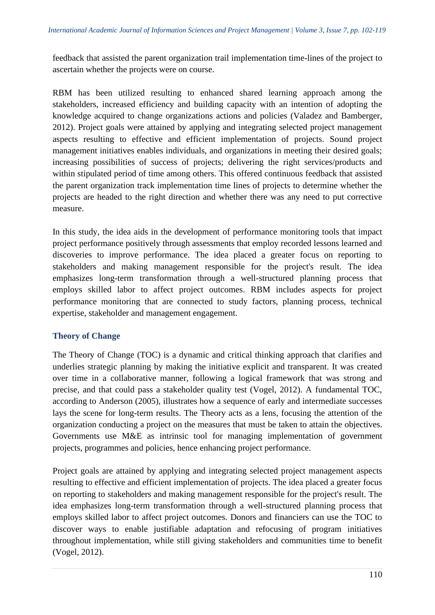feedback that assisted the parent organization trail implementation time-lines of the project to ascertain whether the projects were on course.

RBM has been utilized resulting to enhanced shared learning approach among the stakeholders, increased efficiency and building capacity with an intention of adopting the knowledge acquired to change organizations actions and policies (Valadez and Bamberger, 2012). Project goals were attained by applying and integrating selected project management aspects resulting to effective and efficient implementation of projects. Sound project management initiatives enables individuals, and organizations in meeting their desired goals; increasing possibilities of success of projects; delivering the right services/products and within stipulated period of time among others. This offered continuous feedback that assisted the parent organization track implementation time lines of projects to determine whether the projects are headed to the right direction and whether there was any need to put corrective measure.

In this study, the idea aids in the development of performance monitoring tools that impact project performance positively through assessments that employ recorded lessons learned and discoveries to improve performance. The idea placed a greater focus on reporting to stakeholders and making management responsible for the project's result. The idea emphasizes long-term transformation through a well-structured planning process that employs skilled labor to affect project outcomes. RBM includes aspects for project performance monitoring that are connected to study factors, planning process, technical expertise, stakeholder and management engagement.

## **Theory of Change**

The Theory of Change (TOC) is a dynamic and critical thinking approach that clarifies and underlies strategic planning by making the initiative explicit and transparent. It was created over time in a collaborative manner, following a logical framework that was strong and precise, and that could pass a stakeholder quality test (Vogel, 2012). A fundamental TOC, according to Anderson (2005), illustrates how a sequence of early and intermediate successes lays the scene for long-term results. The Theory acts as a lens, focusing the attention of the organization conducting a project on the measures that must be taken to attain the objectives. Governments use M&E as intrinsic tool for managing implementation of government projects, programmes and policies, hence enhancing project performance.

Project goals are attained by applying and integrating selected project management aspects resulting to effective and efficient implementation of projects. The idea placed a greater focus on reporting to stakeholders and making management responsible for the project's result. The idea emphasizes long-term transformation through a well-structured planning process that employs skilled labor to affect project outcomes. Donors and financiers can use the TOC to discover ways to enable justifiable adaptation and refocusing of program initiatives throughout implementation, while still giving stakeholders and communities time to benefit (Vogel, 2012).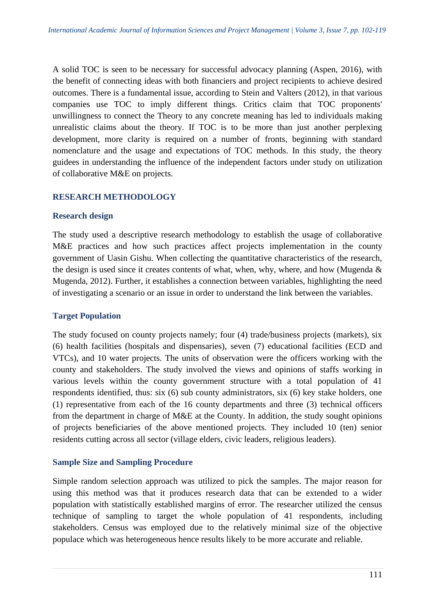A solid TOC is seen to be necessary for successful advocacy planning (Aspen, 2016), with the benefit of connecting ideas with both financiers and project recipients to achieve desired outcomes. There is a fundamental issue, according to Stein and Valters (2012), in that various companies use TOC to imply different things. Critics claim that TOC proponents' unwillingness to connect the Theory to any concrete meaning has led to individuals making unrealistic claims about the theory. If TOC is to be more than just another perplexing development, more clarity is required on a number of fronts, beginning with standard nomenclature and the usage and expectations of TOC methods. In this study, the theory guidees in understanding the influence of the independent factors under study on utilization of collaborative M&E on projects.

## **RESEARCH METHODOLOGY**

## **Research design**

The study used a descriptive research methodology to establish the usage of collaborative M&E practices and how such practices affect projects implementation in the county government of Uasin Gishu. When collecting the quantitative characteristics of the research, the design is used since it creates contents of what, when, why, where, and how (Mugenda & Mugenda, 2012). Further, it establishes a connection between variables, highlighting the need of investigating a scenario or an issue in order to understand the link between the variables.

## **Target Population**

The study focused on county projects namely; four (4) trade/business projects (markets), six (6) health facilities (hospitals and dispensaries), seven (7) educational facilities (ECD and VTCs), and 10 water projects. The units of observation were the officers working with the county and stakeholders. The study involved the views and opinions of staffs working in various levels within the county government structure with a total population of 41 respondents identified, thus: six (6) sub county administrators, six (6) key stake holders, one (1) representative from each of the 16 county departments and three (3) technical officers from the department in charge of M&E at the County. In addition, the study sought opinions of projects beneficiaries of the above mentioned projects. They included 10 (ten) senior residents cutting across all sector (village elders, civic leaders, religious leaders).

## **Sample Size and Sampling Procedure**

Simple random selection approach was utilized to pick the samples. The major reason for using this method was that it produces research data that can be extended to a wider population with statistically established margins of error. The researcher utilized the census technique of sampling to target the whole population of 41 respondents, including stakeholders. Census was employed due to the relatively minimal size of the objective populace which was heterogeneous hence results likely to be more accurate and reliable.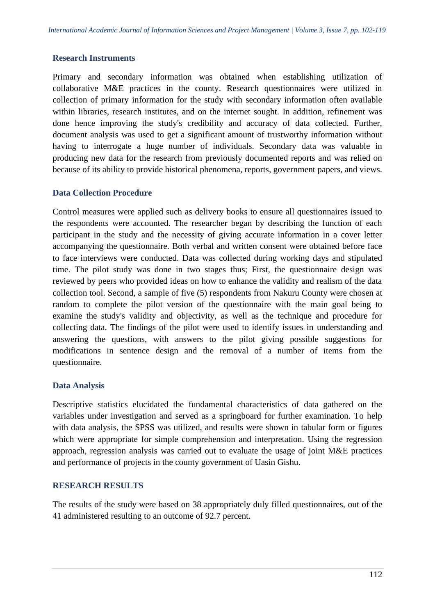## **Research Instruments**

Primary and secondary information was obtained when establishing utilization of collaborative M&E practices in the county. Research questionnaires were utilized in collection of primary information for the study with secondary information often available within libraries, research institutes, and on the internet sought. In addition, refinement was done hence improving the study's credibility and accuracy of data collected. Further, document analysis was used to get a significant amount of trustworthy information without having to interrogate a huge number of individuals. Secondary data was valuable in producing new data for the research from previously documented reports and was relied on because of its ability to provide historical phenomena, reports, government papers, and views.

#### **Data Collection Procedure**

Control measures were applied such as delivery books to ensure all questionnaires issued to the respondents were accounted. The researcher began by describing the function of each participant in the study and the necessity of giving accurate information in a cover letter accompanying the questionnaire. Both verbal and written consent were obtained before face to face interviews were conducted. Data was collected during working days and stipulated time. The pilot study was done in two stages thus; First, the questionnaire design was reviewed by peers who provided ideas on how to enhance the validity and realism of the data collection tool. Second, a sample of five (5) respondents from Nakuru County were chosen at random to complete the pilot version of the questionnaire with the main goal being to examine the study's validity and objectivity, as well as the technique and procedure for collecting data. The findings of the pilot were used to identify issues in understanding and answering the questions, with answers to the pilot giving possible suggestions for modifications in sentence design and the removal of a number of items from the questionnaire.

## **Data Analysis**

Descriptive statistics elucidated the fundamental characteristics of data gathered on the variables under investigation and served as a springboard for further examination. To help with data analysis, the SPSS was utilized, and results were shown in tabular form or figures which were appropriate for simple comprehension and interpretation. Using the regression approach, regression analysis was carried out to evaluate the usage of joint M&E practices and performance of projects in the county government of Uasin Gishu.

## **RESEARCH RESULTS**

The results of the study were based on 38 appropriately duly filled questionnaires, out of the 41 administered resulting to an outcome of 92.7 percent.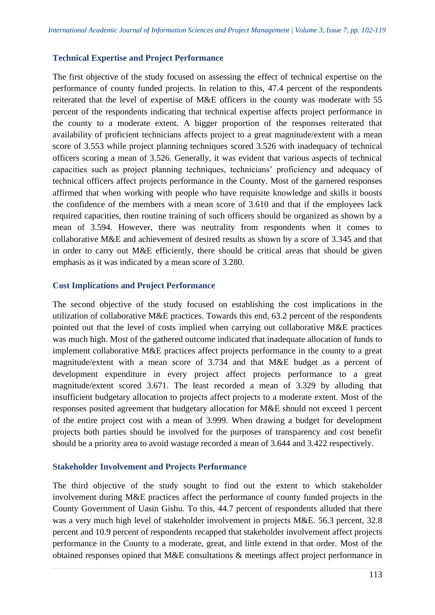## **Technical Expertise and Project Performance**

The first objective of the study focused on assessing the effect of technical expertise on the performance of county funded projects. In relation to this, 47.4 percent of the respondents reiterated that the level of expertise of M&E officers in the county was moderate with 55 percent of the respondents indicating that technical expertise affects project performance in the county to a moderate extent. A bigger proportion of the responses reiterated that availability of proficient technicians affects project to a great magnitude/extent with a mean score of 3.553 while project planning techniques scored 3.526 with inadequacy of technical officers scoring a mean of 3.526. Generally, it was evident that various aspects of technical capacities such as project planning techniques, technicians' proficiency and adequacy of technical officers affect projects performance in the County. Most of the garnered responses affirmed that when working with people who have requisite knowledge and skills it boosts the confidence of the members with a mean score of 3.610 and that if the employees lack required capacities, then routine training of such officers should be organized as shown by a mean of 3.594. However, there was neutrality from respondents when it comes to collaborative M&E and achievement of desired results as shown by a score of 3.345 and that in order to carry out M&E efficiently, there should be critical areas that should be given emphasis as it was indicated by a mean score of 3.280.

## **Cost Implications and Project Performance**

The second objective of the study focused on establishing the cost implications in the utilization of collaborative M&E practices. Towards this end, 63.2 percent of the respondents pointed out that the level of costs implied when carrying out collaborative M&E practices was much high. Most of the gathered outcome indicated that inadequate allocation of funds to implement collaborative M&E practices affect projects performance in the county to a great magnitude/extent with a mean score of 3.734 and that M&E budget as a percent of development expenditure in every project affect projects performance to a great magnitude/extent scored 3.671. The least recorded a mean of 3.329 by alluding that insufficient budgetary allocation to projects affect projects to a moderate extent. Most of the responses posited agreement that budgetary allocation for M&E should not exceed 1 percent of the entire project cost with a mean of 3.999. When drawing a budget for development projects both parties should be involved for the purposes of transparency and cost benefit should be a priority area to avoid wastage recorded a mean of 3.644 and 3.422 respectively.

## **Stakeholder Involvement and Projects Performance**

The third objective of the study sought to find out the extent to which stakeholder involvement during M&E practices affect the performance of county funded projects in the County Government of Uasin Gishu. To this, 44.7 percent of respondents alluded that there was a very much high level of stakeholder involvement in projects M&E. 56.3 percent, 32.8 percent and 10.9 percent of respondents recapped that stakeholder involvement affect projects performance in the County to a moderate, great, and little extend in that order. Most of the obtained responses opined that M&E consultations & meetings affect project performance in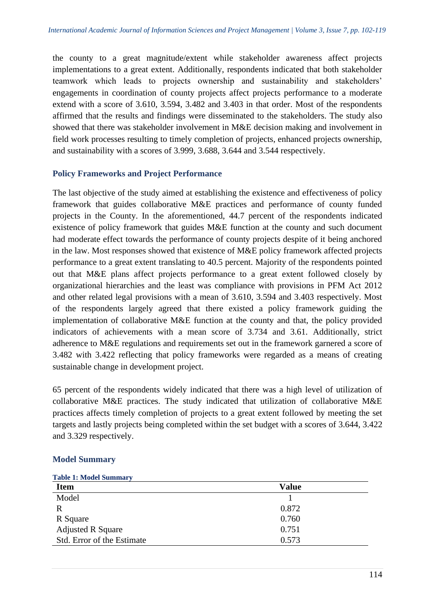the county to a great magnitude/extent while stakeholder awareness affect projects implementations to a great extent. Additionally, respondents indicated that both stakeholder teamwork which leads to projects ownership and sustainability and stakeholders' engagements in coordination of county projects affect projects performance to a moderate extend with a score of 3.610, 3.594, 3.482 and 3.403 in that order. Most of the respondents affirmed that the results and findings were disseminated to the stakeholders. The study also showed that there was stakeholder involvement in M&E decision making and involvement in field work processes resulting to timely completion of projects, enhanced projects ownership, and sustainability with a scores of 3.999, 3.688, 3.644 and 3.544 respectively.

## **Policy Frameworks and Project Performance**

The last objective of the study aimed at establishing the existence and effectiveness of policy framework that guides collaborative M&E practices and performance of county funded projects in the County. In the aforementioned, 44.7 percent of the respondents indicated existence of policy framework that guides M&E function at the county and such document had moderate effect towards the performance of county projects despite of it being anchored in the law. Most responses showed that existence of M&E policy framework affected projects performance to a great extent translating to 40.5 percent. Majority of the respondents pointed out that M&E plans affect projects performance to a great extent followed closely by organizational hierarchies and the least was compliance with provisions in PFM Act 2012 and other related legal provisions with a mean of 3.610, 3.594 and 3.403 respectively. Most of the respondents largely agreed that there existed a policy framework guiding the implementation of collaborative M&E function at the county and that, the policy provided indicators of achievements with a mean score of 3.734 and 3.61. Additionally, strict adherence to M&E regulations and requirements set out in the framework garnered a score of 3.482 with 3.422 reflecting that policy frameworks were regarded as a means of creating sustainable change in development project.

65 percent of the respondents widely indicated that there was a high level of utilization of collaborative M&E practices. The study indicated that utilization of collaborative M&E practices affects timely completion of projects to a great extent followed by meeting the set targets and lastly projects being completed within the set budget with a scores of 3.644, 3.422 and 3.329 respectively.

## **Model Summary**

| <b>Item</b>                | <b>Value</b> |  |  |
|----------------------------|--------------|--|--|
| Model                      |              |  |  |
| R                          | 0.872        |  |  |
| R Square                   | 0.760        |  |  |
| <b>Adjusted R Square</b>   | 0.751        |  |  |
| Std. Error of the Estimate | 0.573        |  |  |

#### **Table 1: Model Summary**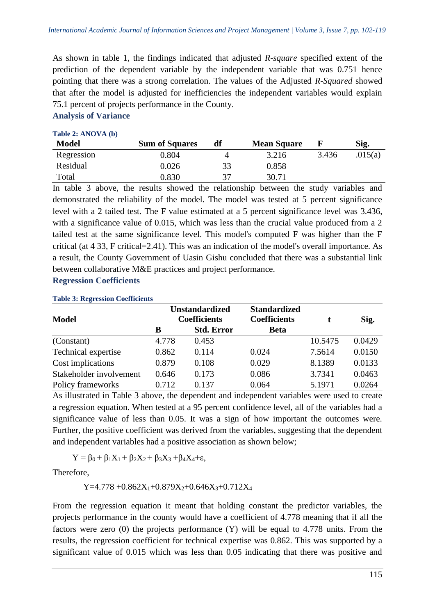As shown in table 1, the findings indicated that adjusted *R-square* specified extent of the prediction of the dependent variable by the independent variable that was 0.751 hence pointing that there was a strong correlation. The values of the Adjusted *R-Squared* showed that after the model is adjusted for inefficiencies the independent variables would explain 75.1 percent of projects performance in the County.

## **Analysis of Variance**

#### **Table 2: ANOVA (b)**

| <b>Model</b> | <b>Sum of Squares</b> | df | <b>Mean Square</b> |       | Sig.    |
|--------------|-----------------------|----|--------------------|-------|---------|
| Regression   | 0.804                 |    | 3.216              | 3.436 | .015(a) |
| Residual     | 0.026                 | 33 | 0.858              |       |         |
| Total        | 0.830                 |    | 30.71              |       |         |

In table 3 above, the results showed the relationship between the study variables and demonstrated the reliability of the model. The model was tested at 5 percent significance level with a 2 tailed test. The F value estimated at a 5 percent significance level was 3.436, with a significance value of 0.015, which was less than the crucial value produced from a 2 tailed test at the same significance level. This model's computed F was higher than the F critical (at 4 33, F critical=2.41). This was an indication of the model's overall importance. As a result, the County Government of Uasin Gishu concluded that there was a substantial link between collaborative M&E practices and project performance.

## **Regression Coefficients**

| <b>Model</b>            | <b>Unstandardized</b><br><b>Coefficients</b> |                   | <b>Standardized</b><br><b>Coefficients</b> |         | Sig.   |  |  |  |  |
|-------------------------|----------------------------------------------|-------------------|--------------------------------------------|---------|--------|--|--|--|--|
|                         | B                                            | <b>Std. Error</b> | <b>Beta</b>                                |         |        |  |  |  |  |
| (Constant)              | 4.778                                        | 0.453             |                                            | 10.5475 | 0.0429 |  |  |  |  |
| Technical expertise     | 0.862                                        | 0.114             | 0.024                                      | 7.5614  | 0.0150 |  |  |  |  |
| Cost implications       | 0.879                                        | 0.108             | 0.029                                      | 8.1389  | 0.0133 |  |  |  |  |
| Stakeholder involvement | 0.646                                        | 0.173             | 0.086                                      | 3.7341  | 0.0463 |  |  |  |  |
| Policy frameworks       | 0.712                                        | 0.137             | 0.064                                      | 5.1971  | 0.0264 |  |  |  |  |

#### **Table 3: Regression Coefficients**

As illustrated in Table 3 above, the dependent and independent variables were used to create a regression equation. When tested at a 95 percent confidence level, all of the variables had a significance value of less than 0.05. It was a sign of how important the outcomes were. Further, the positive coefficient was derived from the variables, suggesting that the dependent and independent variables had a positive association as shown below;

 $Y = \beta_0 + \beta_1 X_1 + \beta_2 X_2 + \beta_3 X_3 + \beta_4 X_4 + \varepsilon,$ 

Therefore,

 $Y=4.778 + 0.862X_1+0.879X_2+0.646X_3+0.712X_4$ 

From the regression equation it meant that holding constant the predictor variables, the projects performance in the county would have a coefficient of 4.778 meaning that if all the factors were zero (0) the projects performance (Y) will be equal to 4.778 units. From the results, the regression coefficient for technical expertise was 0.862. This was supported by a significant value of 0.015 which was less than 0.05 indicating that there was positive and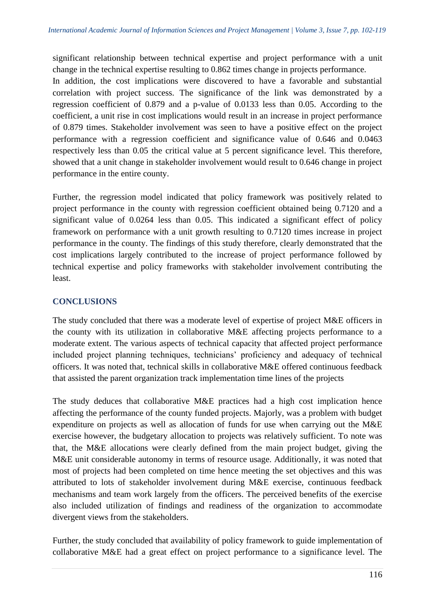significant relationship between technical expertise and project performance with a unit change in the technical expertise resulting to 0.862 times change in projects performance.

In addition, the cost implications were discovered to have a favorable and substantial correlation with project success. The significance of the link was demonstrated by a regression coefficient of 0.879 and a p-value of 0.0133 less than 0.05. According to the coefficient, a unit rise in cost implications would result in an increase in project performance of 0.879 times. Stakeholder involvement was seen to have a positive effect on the project performance with a regression coefficient and significance value of 0.646 and 0.0463 respectively less than 0.05 the critical value at 5 percent significance level. This therefore, showed that a unit change in stakeholder involvement would result to 0.646 change in project performance in the entire county.

Further, the regression model indicated that policy framework was positively related to project performance in the county with regression coefficient obtained being 0.7120 and a significant value of 0.0264 less than 0.05. This indicated a significant effect of policy framework on performance with a unit growth resulting to 0.7120 times increase in project performance in the county. The findings of this study therefore, clearly demonstrated that the cost implications largely contributed to the increase of project performance followed by technical expertise and policy frameworks with stakeholder involvement contributing the least.

## **CONCLUSIONS**

The study concluded that there was a moderate level of expertise of project M&E officers in the county with its utilization in collaborative M&E affecting projects performance to a moderate extent. The various aspects of technical capacity that affected project performance included project planning techniques, technicians' proficiency and adequacy of technical officers. It was noted that, technical skills in collaborative M&E offered continuous feedback that assisted the parent organization track implementation time lines of the projects

The study deduces that collaborative M&E practices had a high cost implication hence affecting the performance of the county funded projects. Majorly, was a problem with budget expenditure on projects as well as allocation of funds for use when carrying out the M&E exercise however, the budgetary allocation to projects was relatively sufficient. To note was that, the M&E allocations were clearly defined from the main project budget, giving the M&E unit considerable autonomy in terms of resource usage. Additionally, it was noted that most of projects had been completed on time hence meeting the set objectives and this was attributed to lots of stakeholder involvement during M&E exercise, continuous feedback mechanisms and team work largely from the officers. The perceived benefits of the exercise also included utilization of findings and readiness of the organization to accommodate divergent views from the stakeholders.

Further, the study concluded that availability of policy framework to guide implementation of collaborative M&E had a great effect on project performance to a significance level. The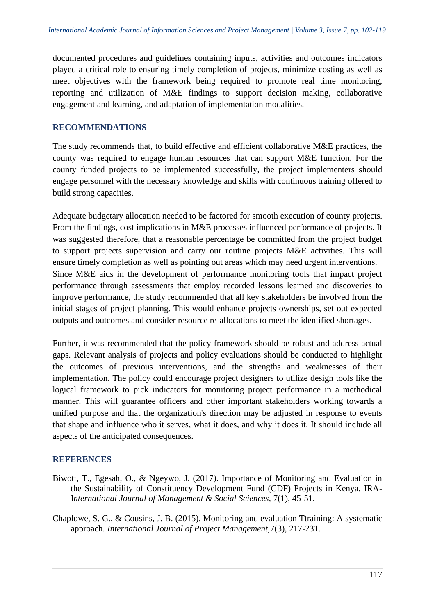documented procedures and guidelines containing inputs, activities and outcomes indicators played a critical role to ensuring timely completion of projects, minimize costing as well as meet objectives with the framework being required to promote real time monitoring, reporting and utilization of M&E findings to support decision making, collaborative engagement and learning, and adaptation of implementation modalities.

## **RECOMMENDATIONS**

The study recommends that, to build effective and efficient collaborative M&E practices, the county was required to engage human resources that can support M&E function. For the county funded projects to be implemented successfully, the project implementers should engage personnel with the necessary knowledge and skills with continuous training offered to build strong capacities.

Adequate budgetary allocation needed to be factored for smooth execution of county projects. From the findings, cost implications in M&E processes influenced performance of projects. It was suggested therefore, that a reasonable percentage be committed from the project budget to support projects supervision and carry our routine projects M&E activities. This will ensure timely completion as well as pointing out areas which may need urgent interventions. Since M&E aids in the development of performance monitoring tools that impact project performance through assessments that employ recorded lessons learned and discoveries to improve performance, the study recommended that all key stakeholders be involved from the initial stages of project planning. This would enhance projects ownerships, set out expected outputs and outcomes and consider resource re-allocations to meet the identified shortages.

Further, it was recommended that the policy framework should be robust and address actual gaps. Relevant analysis of projects and policy evaluations should be conducted to highlight the outcomes of previous interventions, and the strengths and weaknesses of their implementation. The policy could encourage project designers to utilize design tools like the logical framework to pick indicators for monitoring project performance in a methodical manner. This will guarantee officers and other important stakeholders working towards a unified purpose and that the organization's direction may be adjusted in response to events that shape and influence who it serves, what it does, and why it does it. It should include all aspects of the anticipated consequences.

## **REFERENCES**

- Biwott, T., Egesah, O., & Ngeywo, J. (2017). Importance of Monitoring and Evaluation in the Sustainability of Constituency Development Fund (CDF) Projects in Kenya. IRA-I*nternational Journal of Management & Social Sciences*, 7(1), 45-51.
- Chaplowe, S. G., & Cousins, J. B. (2015). Monitoring and evaluation Ttraining: A systematic approach. *International Journal of Project Management,*7(3), 217-231.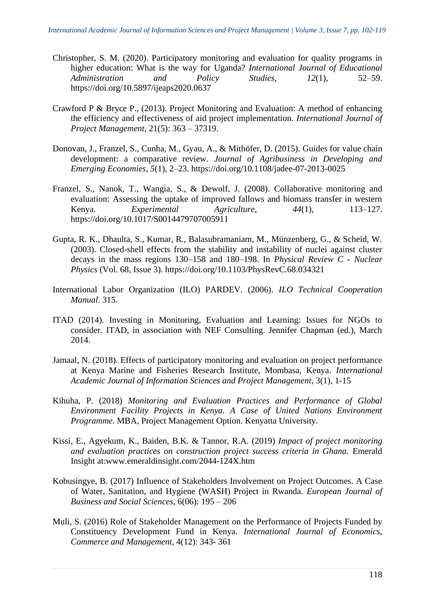- Christopher, S. M. (2020). Participatory monitoring and evaluation for quality programs in higher education: What is the way for Uganda? *International Journal of Educational Administration and Policy Studies*, *12*(1), 52–59. https://doi.org/10.5897/ijeaps2020.0637
- Crawford P & Bryce P., (2013). Project Monitoring and Evaluation: A method of enhancing the efficiency and effectiveness of aid project implementation. *International Journal of Project Management*, 21(5): 363 – 37319.
- Donovan, J., Franzel, S., Cunha, M., Gyau, A., & Mithöfer, D. (2015). Guides for value chain development: a comparative review. *Journal of Agribusiness in Developing and Emerging Economies*, *5*(1), 2–23. https://doi.org/10.1108/jadee-07-2013-0025
- Franzel, S., Nanok, T., Wangia, S., & Dewolf, J. (2008). Collaborative monitoring and evaluation: Assessing the uptake of improved fallows and biomass transfer in western Kenya. *Experimental Agriculture*, *44*(1), 113–127. https://doi.org/10.1017/S0014479707005911
- Gupta, R. K., Dhaulta, S., Kumar, R., Balasubramaniam, M., Münzenberg, G., & Scheid, W. (2003). Closed-shell effects from the stability and instability of nuclei against cluster decays in the mass regions 130–158 and 180–198. In *Physical Review C - Nuclear Physics* (Vol. 68, Issue 3). https://doi.org/10.1103/PhysRevC.68.034321
- International Labor Organization (ILO) PARDEV. (2006). *ILO Technical Cooperation Manual*. 315.
- ITAD (2014). Investing in Monitoring, Evaluation and Learning: Issues for NGOs to consider. ITAD, in association with NEF Consulting. Jennifer Chapman (ed.), March 2014.
- Jamaal, N. (2018). Effects of participatory monitoring and evaluation on project performance at Kenya Marine and Fisheries Research Institute, Mombasa, Kenya. *International Academic Journal of Information Sciences and Project Management,* 3(1), 1-15
- Kihuha, P. (2018) *Monitoring and Evaluation Practices and Performance of Global Environment Facility Projects in Kenya. A Case of United Nations Environment Programme.* MBA, Project Management Option. Kenyatta University.
- Kissi, E., Agyekum, K., Baiden, B.K. & Tannor, R.A. (2019) *Impact of project monitoring and evaluation practices on construction project success criteria in Ghana.* Emerald Insight at:www.emeraldinsight.com/2044-124X.htm
- Kobusingye, B. (2017) Influence of Stakeholders Involvement on Project Outcomes. A Case of Water, Sanitation, and Hygiene (WASH) Project in Rwanda. *European Journal of Business and Social Sciences*, 6(06): 195 – 206
- Muli, S. (2016) Role of Stakeholder Management on the Performance of Projects Funded by Constituency Development Fund in Kenya. *International Journal of Economics, Commerce and Management,* 4(12): 343- 361